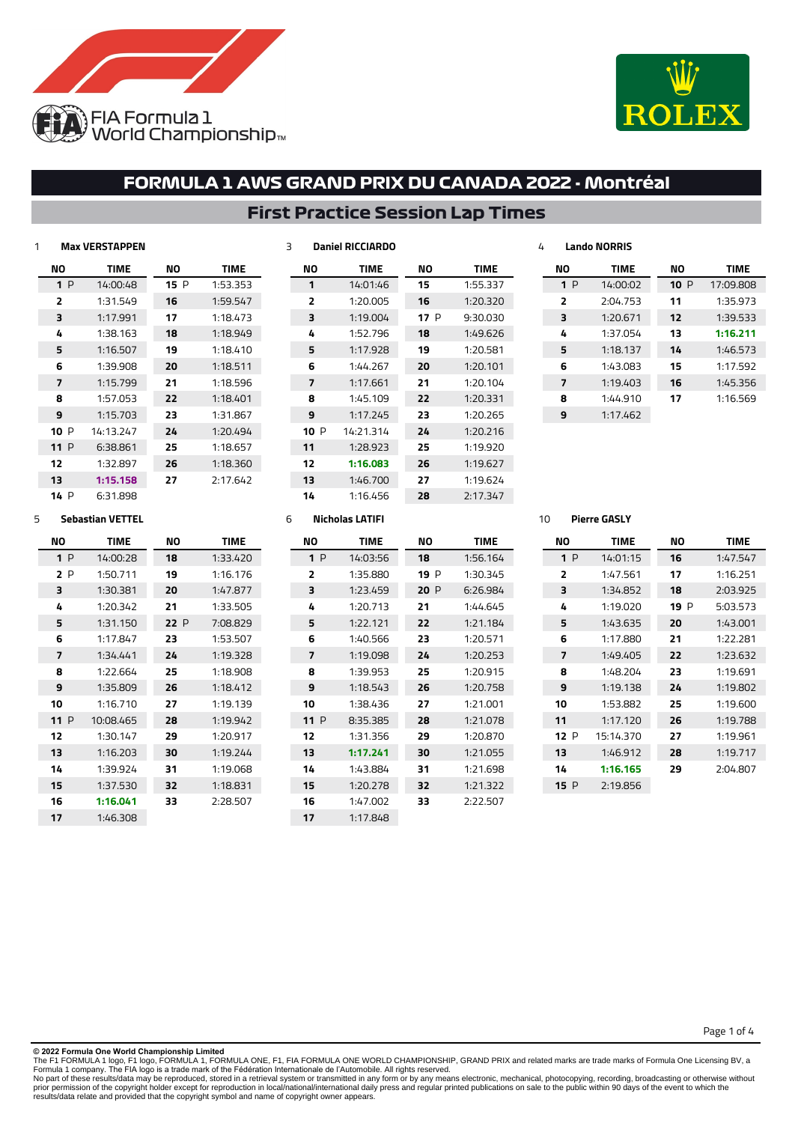



### **First Practice Session Lap Times**

| 1 | <b>Max VERSTAPPEN</b> |             |     |             |  |  |  |  |
|---|-----------------------|-------------|-----|-------------|--|--|--|--|
|   | NΟ                    | <b>TIME</b> | NΟ  | <b>TIME</b> |  |  |  |  |
|   | 1P                    | 14:00:48    | 15P | 1:53.353    |  |  |  |  |
|   | 2                     | 1:31.549    | 16  | 1:59.547    |  |  |  |  |
|   | з                     | 1:17.991    | 17  | 1:18.473    |  |  |  |  |
|   | 4                     | 1:38.163    | 18  | 1:18.949    |  |  |  |  |
|   | 5                     | 1:16.507    | 19  | 1:18.410    |  |  |  |  |
|   | 6                     | 1:39.908    | 20  | 1:18.511    |  |  |  |  |
|   | 7                     | 1:15.799    | 21  | 1:18.596    |  |  |  |  |
|   | 8                     | 1:57.053    | 22  | 1:18.401    |  |  |  |  |
|   | 9                     | 1:15.703    | 23  | 1:31.867    |  |  |  |  |
|   | 10P                   | 14:13.247   | 24  | 1:20.494    |  |  |  |  |
|   | 11 P                  | 6:38.861    | 25  | 1:18.657    |  |  |  |  |
|   | 12                    | 1:32.897    | 26  | 1:18.360    |  |  |  |  |
|   | 13                    | 1:15.158    | 27  | 2:17.642    |  |  |  |  |
|   | 14 P                  | 6:31.898    |     |             |  |  |  |  |

| NΟ     | <b>TIME</b> | NΟ   | <b>TIME</b> |
|--------|-------------|------|-------------|
| 1      | 14:01:46    | 15   | 1:55.337    |
| 2      | 1:20.005    | 16   | 1:20.320    |
| 3      | 1:19.004    | 17 P | 9:30.030    |
| 4      | 1:52.796    | 18   | 1:49.626    |
| 5      | 1:17.928    | 19   | 1:20.581    |
| 6      | 1:44.267    | 20   | 1:20.101    |
| 7      | 1:17.661    | 21   | 1:20.104    |
| 8      | 1:45.109    | 22   | 1:20.331    |
| 9      | 1:17.245    | 23   | 1:20.265    |
| 10 $P$ | 14:21.314   | 24   | 1:20.216    |
| 11     | 1:28.923    | 25   | 1:19.920    |
| 12     | 1:16.083    | 26   | 1:19.627    |
| 13     | 1:46.700    | 27   | 1:19.624    |
| 14     | 1:16.456    | 28   | 2:17.347    |
|        |             |      |             |

| 4 |                | Lando NORRIS |     |             |
|---|----------------|--------------|-----|-------------|
|   | NΟ             | <b>TIME</b>  | NΟ  | <b>TIME</b> |
|   | 1P             | 14:00:02     | 10P | 17:09.808   |
|   | $\overline{2}$ | 2:04.753     | 11  | 1:35.973    |
|   | 3              | 1:20.671     | 12  | 1:39.533    |
|   | 4              | 1:37.054     | 13  | 1:16.211    |
|   | 5              | 1:18.137     | 14  | 1:46.573    |
|   | 6              | 1:43.083     | 15  | 1:17.592    |
|   | 7              | 1:19.403     | 16  | 1:45.356    |
|   | 8              | 1:44.910     | 17  | 1:16.569    |
|   | 9              | 1:17.462     |     |             |

### **Sebastian VETTEL**

| NΟ  | <b>TIME</b> | NΟ  | TIME     |
|-----|-------------|-----|----------|
| 1P  | 14:00:28    | 18  | 1:33.420 |
| 2P  | 1:50.711    | 19  | 1:16.176 |
| з   | 1:30.381    | 20  | 1:47.877 |
| 4   | 1:20.342    | 21  | 1:33.505 |
| 5   | 1:31.150    | 22P | 7:08.829 |
| 6   | 1:17.847    | 23  | 1:53.507 |
| 7   | 1:34.441    | 24  | 1:19.328 |
| 8   | 1:22.664    | 25  | 1:18.908 |
| 9   | 1:35.809    | 26  | 1:18.412 |
| 10  | 1:16.710    | 27  | 1:19.139 |
| 11P | 10:08.465   | 28  | 1:19.942 |
| 12  | 1:30.147    | 29  | 1:20.917 |
| 13  | 1:16.203    | 30  | 1:19.244 |
| 14  | 1:39.924    | 31  | 1:19.068 |
| 15  | 1:37.530    | 32  | 1:18.831 |
| 16  | 1:16.041    | 33  | 2:28.507 |
| 17  | 1:46.308    |     |          |

### **Nicholas LATIFI**

**Daniel RICCIARDO**

| NΟ  | <b>TIME</b> | NΟ   | <b>TIME</b> |
|-----|-------------|------|-------------|
| 1P  | 14:03:56    | 18   | 1:56.164    |
| 2   | 1:35.880    | 19 P | 1:30.345    |
| ₹   | 1:23.459    | 20 P | 6:26.984    |
| 4   | 1:20.713    | 21   | 1:44.645    |
| 5   | 1:22.121    | 22   | 1:21.184    |
| 6   | 1:40.566    | 23   | 1:20.571    |
| 7   | 1:19.098    | 24   | 1:20.253    |
| 8   | 1:39.953    | 25   | 1:20.915    |
| ٩   | 1:18.543    | 26   | 1:20.758    |
| 10  | 1:38.436    | 27   | 1:21.001    |
| 11P | 8:35.385    | 28   | 1:21.078    |
| 12  | 1:31.356    | 29   | 1:20.870    |
| 13  | 1:17.241    | 30   | 1:21.055    |
| 14  | 1:43.884    | 31   | 1:21.698    |
| 15  | 1:20.278    | 32   | 1:21.322    |
| 16  | 1:47.002    | 33   | 2:22.507    |
| 17  | 1:17.848    |      |             |
|     |             |      |             |

### **Pierre GASLY**

| NΟ   | <b>TIME</b> | NΟ   | <b>TIME</b> |
|------|-------------|------|-------------|
| 1P   | 14:01:15    | 16   | 1:47.547    |
| ,    | 1:47.561    | 17   | 1:16.251    |
| 3    | 1:34.852    | 18   | 2:03.925    |
| 4    | 1:19.020    | 19 P | 5:03.573    |
| 5    | 1:43.635    | 20   | 1:43.001    |
| 6    | 1:17.880    | 21   | 1:22.281    |
| 7    | 1:49.405    | 22   | 1:23.632    |
| я    | 1:48.204    | 23   | 1:19.691    |
| q    | 1:19.138    | 24   | 1:19.802    |
| 10   | 1:53.882    | 25   | 1:19.600    |
| 11   | 1:17.120    | 26   | 1:19.788    |
| 12P  | 15:14.370   | 27   | 1:19.961    |
| 13   | 1:46.912    | 28   | 1:19.717    |
| 14   | 1:16.165    | 29   | 2:04.807    |
| 15 P | 2:19.856    |      |             |

Page 1 of 4

#### **© 2022 Formula One World Championship Limited**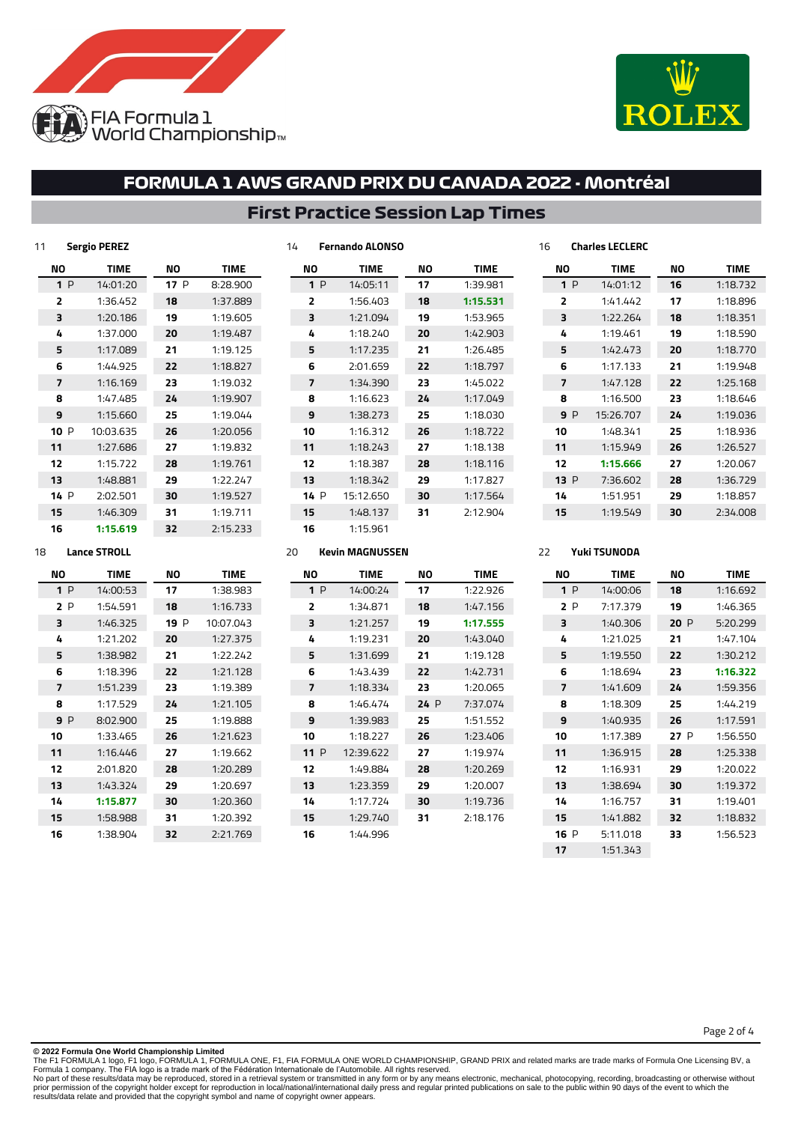



## **First Practice Session Lap Times**

**Fernando ALONSO**

| 11   | <b>Sergio PEREZ</b> |     |             |
|------|---------------------|-----|-------------|
| NΟ   | <b>TIME</b>         | NΟ  | <b>TIME</b> |
| 1P   | 14:01:20            | 17P | 8:28.900    |
| 2    | 1:36.452            | 18  | 1:37.889    |
| 3    | 1:20.186            | 19  | 1:19.605    |
| 4    | 1:37.000            | 20  | 1:19.487    |
| 5    | 1:17.089            | 21  | 1:19.125    |
| 6    | 1:44.925            | 22  | 1:18.827    |
| 7    | 1:16.169            | 23  | 1:19.032    |
| 8    | 1:47.485            | 24  | 1:19.907    |
| 9    | 1:15.660            | 25  | 1:19.044    |
| 10P  | 10:03.635           | 26  | 1:20.056    |
| 11   | 1:27.686            | 27  | 1:19.832    |
| 12   | 1:15.722            | 28  | 1:19.761    |
| 13   | 1:48.881            | 29  | 1:22.247    |
| 14 P | 2:02.501            | 30  | 1:19.527    |
| 15   | 1:46.309            | 31  | 1:19.711    |
| 16   | 1:15.619            | 32  | 2:15.233    |

| NΟ             | <b>TIME</b> | NΟ | <b>TIME</b> |
|----------------|-------------|----|-------------|
| 1P             | 14:05:11    | 17 | 1:39.981    |
| $\overline{2}$ | 1:56.403    | 18 | 1:15.531    |
| 3              | 1:21.094    | 19 | 1:53.965    |
| 4              | 1:18.240    | 20 | 1:42.903    |
| 5              | 1:17.235    | 21 | 1:26.485    |
| 6              | 2:01.659    | 22 | 1:18.797    |
| 7              | 1:34.390    | 23 | 1:45.022    |
| 8              | 1:16.623    | 24 | 1:17.049    |
| 9              | 1:38.273    | 25 | 1:18.030    |
| 10             | 1:16.312    | 26 | 1:18.722    |
| 11             | 1:18.243    | 27 | 1:18.138    |
| 12             | 1:18.387    | 28 | 1:18.116    |
| 13             | 1:18.342    | 29 | 1:17.827    |
| 14P            | 15:12.650   | 30 | 1:17.564    |
| 15             | 1:48.137    | 31 | 2:12.904    |
| 16             | 1:15.961    |    |             |

| <b>TIME</b> | NΟ | TIME     |
|-------------|----|----------|
| 14:01:12    | 16 | 1:18.732 |
| 1:41.442    | 17 | 1:18.896 |
| 1:22.264    | 18 | 1:18.351 |
| 1:19.461    | 19 | 1:18.590 |
| 1:42.473    | 20 | 1:18.770 |
| 1:17.133    | 21 | 1:19.948 |
| 1:47.128    | 22 | 1:25.168 |
| 1:16.500    | 23 | 1:18.646 |
| 15:26.707   | 24 | 1:19.036 |
| 1:48.341    | 25 | 1:18.936 |
| 1:15.949    | 26 | 1:26.527 |
| 1:15.666    | 27 | 1:20.067 |
| 7:36.602    | 28 | 1:36.729 |
| 1:51.951    | 29 | 1:18.857 |
| 1:19.549    | 30 | 2:34.008 |
|             |    |          |

**Charles LECLERC**

**Yuki TSUNODA**

### **Lance STROLL**

| ΝO             | <b>TIME</b> | <b>NO</b> | <b>TIME</b> | <b>NO</b>      | <b>TIME</b> | ΝO   | <b>TIME</b> | ΝO                       | <b>TIME</b> | ΝO   | <b>TIME</b> |
|----------------|-------------|-----------|-------------|----------------|-------------|------|-------------|--------------------------|-------------|------|-------------|
| 1P             | 14:00:53    | 17        | 1:38.983    | 1P             | 14:00:24    | 17   | 1:22.926    | 1P                       | 14:00:06    | 18   | 1:16.692    |
| 2P             | 1:54.591    | 18        | 1:16.733    | $\overline{2}$ | 1:34.871    | 18   | 1:47.156    | 2P                       | 7:17.379    | 19   | 1:46.365    |
| з              | 1:46.325    | 19 P      | 10:07.043   | 3              | 1:21.257    | 19   | 1:17.555    | з                        | 1:40.306    | 20 P | 5:20.299    |
| 4              | 1:21.202    | 20        | 1:27.375    | 4              | 1:19.231    | 20   | 1:43.040    | 4                        | 1:21.025    | 21   | 1:47.104    |
| 5              | 1:38.982    | 21        | 1:22.242    | 5              | 1:31.699    | 21   | 1:19.128    | 5                        | 1:19.550    | 22   | 1:30.212    |
| 6              | 1:18.396    | 22        | 1:21.128    | 6              | 1:43.439    | 22   | 1:42.731    | 6                        | 1:18.694    | 23   | 1:16.322    |
| $\overline{7}$ | 1:51.239    | 23        | 1:19.389    | $\overline{7}$ | 1:18.334    | 23   | 1:20.065    | $\overline{\phantom{a}}$ | 1:41.609    | 24   | 1:59.356    |
| 8              | 1:17.529    | 24        | 1:21.105    | 8              | 1:46.474    | 24 P | 7:37.074    | 8                        | 1:18.309    | 25   | 1:44.219    |
| 9P             | 8:02.900    | 25        | 1:19.888    | 9              | 1:39.983    | 25   | 1:51.552    | 9                        | 1:40.935    | 26   | 1:17.591    |
| 10             | 1:33.465    | 26        | 1:21.623    | 10             | 1:18.227    | 26   | 1:23.406    | 10                       | 1:17.389    | 27 P | 1:56.550    |
| 11             | 1:16.446    | 27        | 1:19.662    | 11P            | 12:39.622   | 27   | 1:19.974    | 11                       | 1:36.915    | 28   | 1:25.338    |
| 12             | 2:01.820    | 28        | 1:20.289    | 12             | 1:49.884    | 28   | 1:20.269    | 12                       | 1:16.931    | 29   | 1:20.022    |
| 13             | 1:43.324    | 29        | 1:20.697    | 13             | 1:23.359    | 29   | 1:20.007    | 13                       | 1:38.694    | 30   | 1:19.372    |
| 14             | 1:15.877    | 30        | 1:20.360    | 14             | 1:17.724    | 30   | 1:19.736    | 14                       | 1:16.757    | 31   | 1:19.401    |
| 15             | 1:58.988    | 31        | 1:20.392    | 15             | 1:29.740    | 31   | 2:18.176    | 15                       | 1:41.882    | 32   | 1:18.832    |
| 16             | 1:38.904    | 32        | 2:21.769    | 16             | 1:44.996    |      |             | 16 P                     | 5:11.018    | 33   | 1:56.523    |
|                |             |           |             |                |             |      |             | 17                       | 1:51.343    |      |             |

**Kevin MAGNUSSEN**

**© 2022 Formula One World Championship Limited**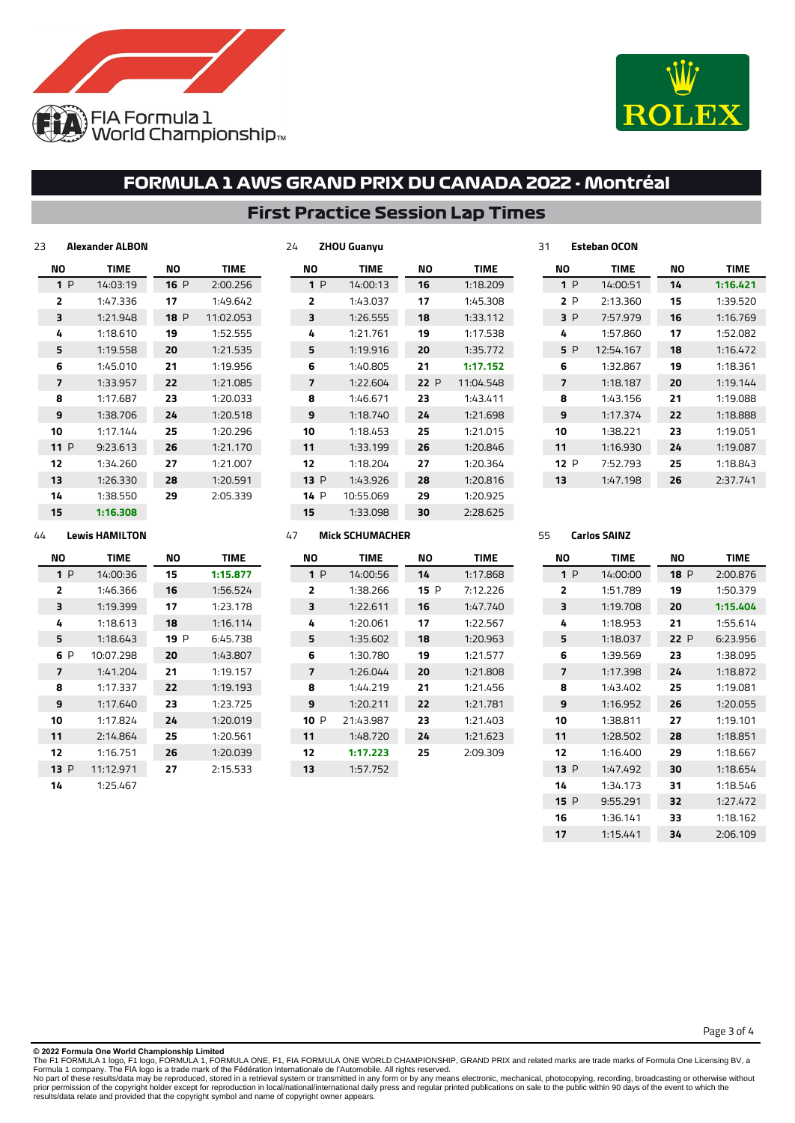



## **First Practice Session Lap Times**

**ZHOU Guanyu**

| 23     | Alexander ALBON |             |           |  |
|--------|-----------------|-------------|-----------|--|
| NΟ     | TIME            | <b>TIME</b> |           |  |
| 1P     | 14:03:19        | 16P         | 2:00.256  |  |
| 2      | 1:47.336        | 17          | 1:49.642  |  |
| 3      | 1:21.948        | 18P         | 11:02.053 |  |
| 4      | 1:18.610        | 19          | 1:52.555  |  |
| 5      | 1:19.558        | 20          | 1:21.535  |  |
| 6      | 1:45.010        | 21          | 1:19.956  |  |
| 7      | 1:33.957        | 22          | 1:21.085  |  |
| 8      | 1:17.687        | 23          | 1:20.033  |  |
| 9      | 1:38.706        | 24          | 1:20.518  |  |
| 10     | 1:17.144        | 25          | 1:20.296  |  |
| 11 $P$ | 9:23.613        | 26          | 1:21.170  |  |
| 12     | 1:34.260        | 27          | 1:21.007  |  |
| 13     | 1:26.330        | 28          | 1:20.591  |  |
| 14     | 1:38.550        | 29          | 2:05.339  |  |
| 15     | 1:16.308        |             |           |  |

| NΟ   | <b>TIME</b> | NΟ  | TIME      |
|------|-------------|-----|-----------|
| 1P   | 14:00:13    | 16  | 1:18.209  |
| 2    | 1:43.037    | 17  | 1:45.308  |
| 3    | 1:26.555    | 18  | 1:33.112  |
| 4    | 1:21.761    | 19  | 1:17.538  |
| 5    | 1:19.916    | 20  | 1:35.772  |
| 6    | 1:40.805    | 21  | 1:17.152  |
| 7    | 1:22.604    | 22P | 11:04.548 |
| 8    | 1:46.671    | 23  | 1:43.411  |
| 9    | 1:18.740    | 24  | 1:21.698  |
| 10   | 1:18.453    | 25  | 1:21.015  |
| 11   | 1:33.199    | 26  | 1:20.846  |
| 12   | 1:18.204    | 27  | 1:20.364  |
| 13P  | 1:43.926    | 28  | 1:20.816  |
| 14 P | 10:55.069   | 29  | 1:20.925  |
| 15   | 1:33.098    | 30  | 2:28.625  |

|     |     | ייטט ווטשט  |    |             |  |  |
|-----|-----|-------------|----|-------------|--|--|
| NΟ  |     | <b>TIME</b> | NΟ | <b>TIME</b> |  |  |
|     | 1P  | 14:00:51    | 14 | 1:16.421    |  |  |
|     | 2P  | 2:13.360    | 15 | 1:39.520    |  |  |
| 3 P |     | 7:57.979    | 16 | 1:16.769    |  |  |
| 4   |     | 1:57.860    | 17 | 1:52.082    |  |  |
|     | 5 P | 12:54.167   | 18 | 1:16.472    |  |  |
| 6   |     | 1:32.867    | 19 | 1:18.361    |  |  |
| 7   |     | 1:18.187    | 20 | 1:19.144    |  |  |
| 8   |     | 1:43.156    | 21 | 1:19.088    |  |  |
| 9   |     | 1:17.374    | 22 | 1:18.888    |  |  |
| 10  |     | 1:38.221    | 23 | 1:19.051    |  |  |
| 11  |     | 1:16.930    | 24 | 1:19.087    |  |  |
| 12P |     | 7:52.793    | 25 | 1:18.843    |  |  |
| 13  |     | 1:47.198    | 26 | 2:37.741    |  |  |
|     |     |             |    |             |  |  |

### **Lewis HAMILTON**

| NΟ   | <b>TIME</b> | NΟ   | <b>TIME</b> |  |
|------|-------------|------|-------------|--|
| 1P   | 14:00:36    | 15   | 1:15.877    |  |
| 2    | 1:46.366    | 16   | 1:56.524    |  |
| 3    | 1:19.399    | 17   | 1:23.178    |  |
| 4    | 1:18.613    | 18   | 1:16.114    |  |
| 5    | 1:18.643    | 19 P | 6:45.738    |  |
| 6 P  | 10:07.298   | 20   | 1:43.807    |  |
| 7    | 1:41.204    | 21   | 1:19.157    |  |
| 8    | 1:17.337    | 22   | 1:19.193    |  |
| 9    | 1:17.640    | 23   | 1:23.725    |  |
| 10   | 1:17.824    | 24   | 1:20.019    |  |
| 11   | 2:14.864    | 25   | 1:20.561    |  |
| 12   | 1:16.751    | 26   | 1:20.039    |  |
| 13 P | 11:12.971   | 27   | 2:15.533    |  |
| 14   | 1:25.467    |      |             |  |

### **Mick SCHUMACHER**

| NΟ             | <b>TIME</b> | NΟ   | <b>TIME</b> |
|----------------|-------------|------|-------------|
| 1 P            | 14:00:56    | 14   | 1:17.868    |
| $\overline{2}$ | 1:38.266    | 15 P | 7:12.226    |
| 3              | 1:22.611    | 16   | 1:47.740    |
| 4              | 1:20.061    | 17   | 1:22.567    |
| 5              | 1:35.602    | 18   | 1:20.963    |
| 6              | 1:30.780    | 19   | 1:21.577    |
| 7              | 1:26.044    | 20   | 1:21.808    |
| 8              | 1:44.219    | 21   | 1:21.456    |
| 9              | 1:20.211    | 22   | 1:21.781    |
| 10 P           | 21:43.987   | 23   | 1:21.403    |
| 11             | 1:48.720    | 24   | 1:21.623    |
| 12             | 1:17.223    | 25   | 2:09.309    |
| 13             | 1:57.752    |      |             |

#### **Carlos SAINZ**

**Esteban OCON**

| <b>NO</b> | <b>TIME</b> | NΟ   | <b>TIME</b> |
|-----------|-------------|------|-------------|
| 1P        | 14:00:00    | 18P  | 2:00.876    |
| ,         | 1:51.789    | 19   | 1:50.379    |
| ₹         | 1:19.708    | 20   | 1:15.404    |
| 4         | 1:18.953    | 21   | 1:55.614    |
| 5         | 1:18.037    | 22 P | 6:23.956    |
| 6         | 1:39.569    | 23   | 1:38.095    |
| 7         | 1:17.398    | 24   | 1:18.872    |
| я         | 1:43.402    | 25   | 1:19.081    |
| 9         | 1:16.952    | 26   | 1:20.055    |
| 10        | 1:38.811    | 27   | 1:19.101    |
| 11        | 1:28.502    | 28   | 1:18.851    |
| 12        | 1:16.400    | 29   | 1:18.667    |
| 13P       | 1:47.492    | 30   | 1:18.654    |
| 14        | 1:34.173    | 31   | 1:18.546    |
| 15P       | 9:55.291    | 32   | 1:27.472    |
| 16        | 1:36.141    | 33   | 1:18.162    |
| 17        | 1:15.441    | 34   | 2:06.109    |